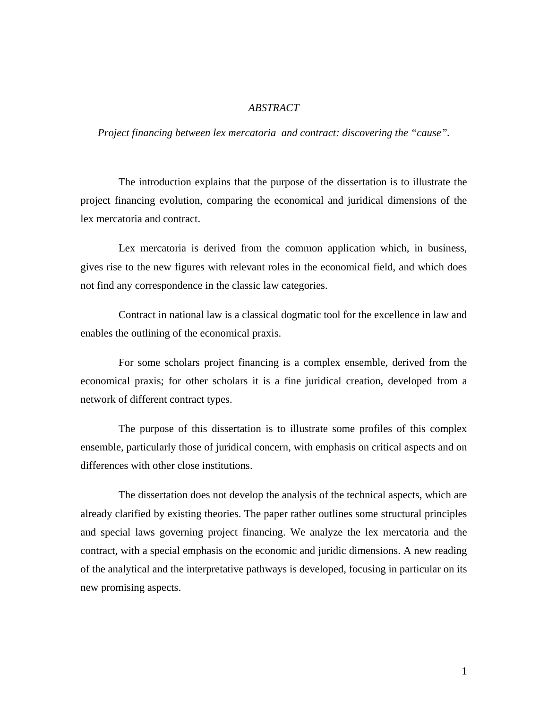## *ABSTRACT*

*Project financing between lex mercatoria and contract: discovering the "cause".* 

The introduction explains that the purpose of the dissertation is to illustrate the project financing evolution, comparing the economical and juridical dimensions of the lex mercatoria and contract.

Lex mercatoria is derived from the common application which, in business, gives rise to the new figures with relevant roles in the economical field, and which does not find any correspondence in the classic law categories.

Contract in national law is a classical dogmatic tool for the excellence in law and enables the outlining of the economical praxis.

For some scholars project financing is a complex ensemble, derived from the economical praxis; for other scholars it is a fine juridical creation, developed from a network of different contract types.

The purpose of this dissertation is to illustrate some profiles of this complex ensemble, particularly those of juridical concern, with emphasis on critical aspects and on differences with other close institutions.

The dissertation does not develop the analysis of the technical aspects, which are already clarified by existing theories. The paper rather outlines some structural principles and special laws governing project financing. We analyze the lex mercatoria and the contract, with a special emphasis on the economic and juridic dimensions. A new reading of the analytical and the interpretative pathways is developed, focusing in particular on its new promising aspects.